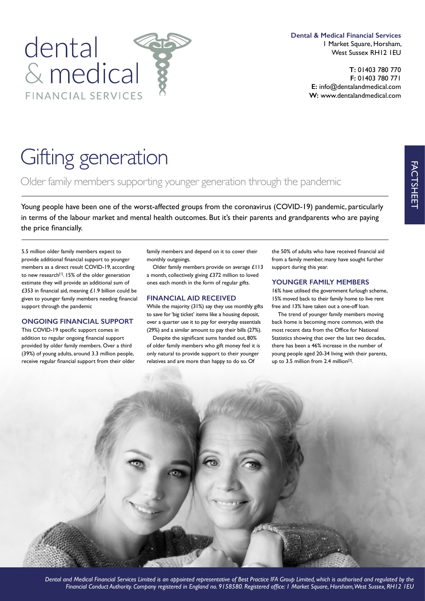

**Dental & Medical Financial Services** 1 Market Square, Horsham, West Sussex RH12 1EU

> **T:** 01403 780 770 **F:** 01403 780 771 **E:** info@dentalandmedical.com **W:** www.dentalandmedical.com

# Gifting generation

Older family members supporting younger generation through the pandemic

Young people have been one of the worst-affected groups from the coronavirus (COVID-19) pandemic, particularly in terms of the labour market and mental health outcomes. But it's their parents and grandparents who are paying the price fnancially.

5.5 million older family members expect to provide additional fnancial support to younger members as a direct result COVID-19, according to new research<sup>[1]</sup>. 15% of the older generation estimate they will provide an additional sum of £353 in fnancial aid, meaning £1.9 billion could be given to younger family members needing fnancial support through the pandemic

## **ONGOING FINANCIAL SUPPORT**

This COVID-19 specifc support comes in addition to regular ongoing fnancial support provided by older family members. Over a third (39%) of young adults, around 3.3 million people, receive regular fnancial support from their older family members and depend on it to cover their monthly outgoings.

Older family members provide on average £113 a month, collectively giving £372 million to loved ones each month in the form of regular gifts.

## **FINANCIAL AID RECEIVED**

While the majority (31%) say they use monthly gifts to save for 'big ticket' items like a housing deposit, over a quarter use it to pay for everyday essentials (29%) and a similar amount to pay their bills (27%).

Despite the signifcant sums handed out, 80% of older family members who gift money feel it is only natural to provide support to their younger relatives and are more than happy to do so. Of

the 50% of adults who have received fnancial aid from a family member, many have sought further support during this year.

## **YOUNGER FAMILY MEMBERS**

16% have utilised the government furlough scheme, 15% moved back to their family home to live rent free and 13% have taken out a one-off loan.

The trend of younger family members moving back home is becoming more common, with the most recent data from the Office for National Statistics showing that over the last two decades, there has been a 46% increase in the number of young people aged 20-34 living with their parents, up to 3.5 million from 2.4 million<sup>[2]</sup>.



*Dental and Medical Financial Services Limited is an appointed representative of Best Practice IFA Group Limited, which is authorised and regulated by the Financial Conduct Authority. Company registered in England no. 9158580. Registered offce: 1 Market Square, Horsham, West Sussex, RH12 1EU*